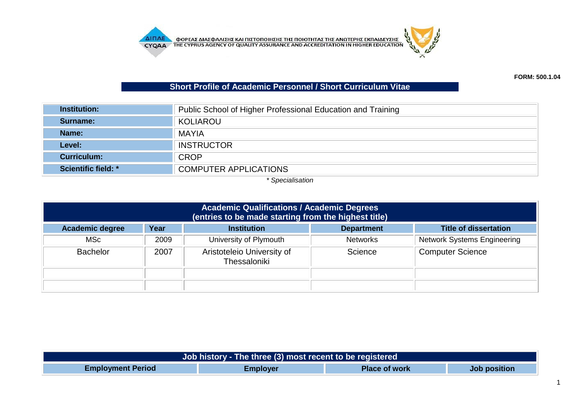

## **Short Profile of Academic Personnel / Short Curriculum Vitae**

| <b>Institution:</b> | Public School of Higher Professional Education and Training |  |  |
|---------------------|-------------------------------------------------------------|--|--|
| Surname:            | KOLIAROU                                                    |  |  |
| Name:               | <b>MAYIA</b>                                                |  |  |
| Level:              | <b>INSTRUCTOR</b>                                           |  |  |
| <b>Curriculum:</b>  | <b>CROP</b>                                                 |  |  |
| Scientific field: * | <b>COMPUTER APPLICATIONS</b>                                |  |  |

*\* Specialisation*

| <b>Academic Qualifications / Academic Degrees</b><br>(entries to be made starting from the highest title) |      |                                            |                 |                                    |  |  |
|-----------------------------------------------------------------------------------------------------------|------|--------------------------------------------|-----------------|------------------------------------|--|--|
| <b>Title of dissertation</b><br>Year<br><b>Academic degree</b><br><b>Institution</b><br><b>Department</b> |      |                                            |                 |                                    |  |  |
| <b>MSc</b>                                                                                                | 2009 | University of Plymouth                     | <b>Networks</b> | <b>Network Systems Engineering</b> |  |  |
| <b>Bachelor</b>                                                                                           | 2007 | Aristoteleio University of<br>Thessaloniki | Science         | <b>Computer Science</b>            |  |  |
|                                                                                                           |      |                                            |                 |                                    |  |  |
|                                                                                                           |      |                                            |                 |                                    |  |  |

| Job history - The three (3) most recent to be registered |                 |                      |                     |  |
|----------------------------------------------------------|-----------------|----------------------|---------------------|--|
| <b>Employment Period</b>                                 | <b>Employer</b> | <b>Place of work</b> | <b>Job position</b> |  |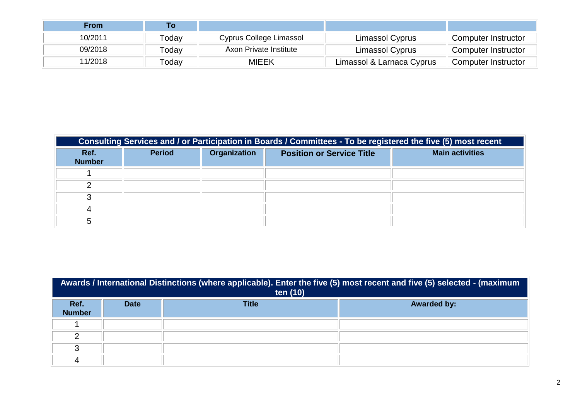| <b>From</b> | Τo    |                         |                           |                     |
|-------------|-------|-------------------------|---------------------------|---------------------|
| 10/2011     | Γodav | Cyprus College Limassol | Limassol Cyprus           | Computer Instructor |
| 09/2018     | Todav | Axon Private Institute  | Limassol Cyprus           | Computer Instructor |
| 11/2018     | Гоdav | MIEEK                   | Limassol & Larnaca Cyprus | Computer Instructor |

| Consulting Services and / or Participation in Boards / Committees - To be registered the five (5) most recent |               |                     |                                  |                        |  |
|---------------------------------------------------------------------------------------------------------------|---------------|---------------------|----------------------------------|------------------------|--|
| Ref.<br><b>Number</b>                                                                                         | <b>Period</b> | <b>Organization</b> | <b>Position or Service Title</b> | <b>Main activities</b> |  |
|                                                                                                               |               |                     |                                  |                        |  |
|                                                                                                               |               |                     |                                  |                        |  |
|                                                                                                               |               |                     |                                  |                        |  |
|                                                                                                               |               |                     |                                  |                        |  |
|                                                                                                               |               |                     |                                  |                        |  |

| Awards / International Distinctions (where applicable). Enter the five (5) most recent and five (5) selected - (maximum<br>ten (10) |             |              |                    |  |
|-------------------------------------------------------------------------------------------------------------------------------------|-------------|--------------|--------------------|--|
| Ref.<br><b>Number</b>                                                                                                               | <b>Date</b> | <b>Title</b> | <b>Awarded by:</b> |  |
|                                                                                                                                     |             |              |                    |  |
| ⌒                                                                                                                                   |             |              |                    |  |
| ◠                                                                                                                                   |             |              |                    |  |
|                                                                                                                                     |             |              |                    |  |